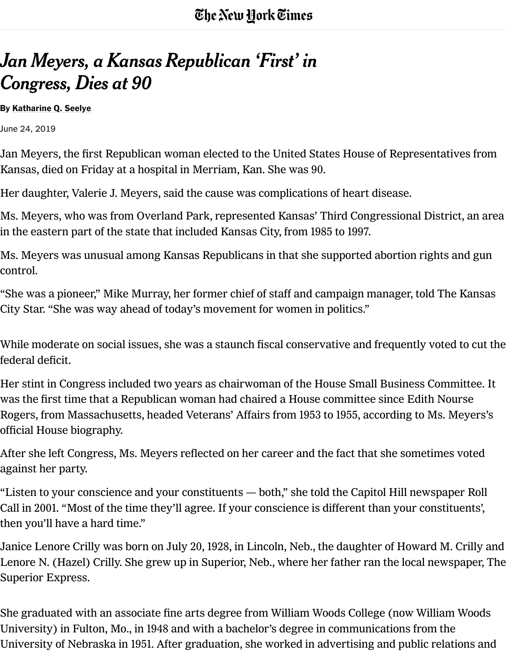## Jan Meyers, a Kansas Republican ʻFirst' in Congress, Dies at 90

By [Katharine](https://www.nytimes.com/by/katharine-q-seelye) Q. Seelye

June 24, 2019

Jan Meyers, the first Republican woman elected to the United States House of Representatives from Kansas, died on Friday at a hospital in Merriam, Kan. She was 90.

Her daughter, Valerie J. Meyers, said the cause was complications of heart disease.

Ms. Meyers, who was from Overland Park, represented Kansas' Third Congressional District, an area in the eastern part of the state that included Kansas City, from 1985 to 1997.

Ms. Meyers was unusual among Kansas Republicans in that she supported abortion rights and gun control.

"She was a pioneer," Mike Murray, her former chief of staff and campaign manager, told The Kansas City Star. "She was way ahead of today's movement for women in politics."

While moderate on social issues, she was a staunch fiscal conservative and frequently voted to cut the federal deficit.

Her stint in Congress included two years as chairwoman of the House Small Business Committee. It was the first time that a Republican woman had chaired a House committee since Edith Nourse Rogers, from Massachusetts, headed Veterans' Affairs from 1953 to 1955, according to Ms. Meyers's official House biography.

After she left Congress, Ms. Meyers reflected on her career and the fact that she sometimes voted against her party.

"Listen to your conscience and your constituents  $-$  both," she told the Capitol Hill newspaper Roll Call in 2001. "Most of the time they'll agree. If your conscience is different than your constituents', then you'll have a hard time."

Janice Lenore Crilly was born on July 20, 1928, in Lincoln, Neb., the daughter of Howard M. Crilly and Lenore N. (Hazel) Crilly. She grew up in Superior, Neb., where her father ran the local newspaper, The Superior Express.

She graduated with an associate fine arts degree from William Woods College (now William Woods University) in Fulton, Mo., in 1948 and with a bachelor's degree in communications from the University of Nebraska in 1951. After graduation, she worked in advertising and public relations and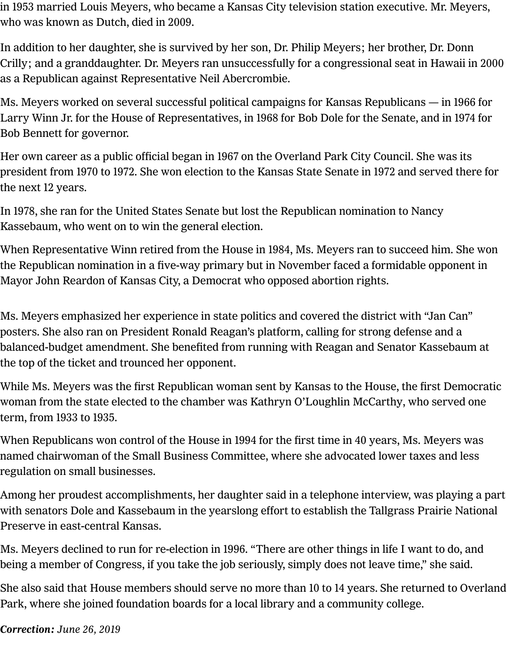in 1953 married Louis Meyers, who became a Kansas City television station executive. Mr. Meyers, who was known as Dutch, died in 2009.

In addition to her daughter, she is survived by her son, Dr. Philip Meyers; her brother, Dr. Donn Crilly; and a granddaughter. Dr. Meyers ran unsuccessfully for a congressional seat in Hawaii in 2000 as a Republican against Representative Neil Abercrombie.

Ms. Meyers worked on several successful political campaigns for Kansas Republicans — in 1966 for Larry Winn Jr. for the House of Representatives, in 1968 for Bob Dole for the Senate, and in 1974 for Bob Bennett for governor.

Her own career as a public official began in 1967 on the Overland Park City Council. She was its president from 1970 to 1972. She won election to the Kansas State Senate in 1972 and served there for the next 12 years.

In 1978, she ran for the United States Senate but lost the Republican nomination to Nancy Kassebaum, who went on to win the general election.

When Representative Winn retired from the House in 1984, Ms. Meyers ran to succeed him. She won the Republican nomination in a five-way primary but in November faced a formidable opponent in Mayor John Reardon of Kansas City, a Democrat who opposed abortion rights.

Ms. Meyers emphasized her experience in state politics and covered the district with "Jan Can" posters. She also ran on President Ronald Reagan's platform, calling for strong defense and a balanced-budget amendment. She benefited from running with Reagan and Senator Kassebaum at the top of the ticket and trounced her opponent.

While Ms. Meyers was the first Republican woman sent by Kansas to the House, the first Democratic woman from the state elected to the chamber was Kathryn O'Loughlin McCarthy, who served one term, from 1933 to 1935.

When Republicans won control of the House in 1994 for the first time in 40 years, Ms. Meyers was named chairwoman of the Small Business Committee, where she advocated lower taxes and less regulation on small businesses.

Among her proudest accomplishments, her daughter said in a telephone interview, was playing a part with senators Dole and Kassebaum in the yearslong effort to establish the Tallgrass Prairie National Preserve in east-central Kansas.

Ms. Meyers declined to run for re-election in 1996. "There are other things in life I want to do, and being a member of Congress, if you take the job seriously, simply does not leave time," she said.

She also said that House members should serve no more than 10 to 14 years. She returned to Overland Park, where she joined foundation boards for a local library and a community college.

Correction: June 26, 2019